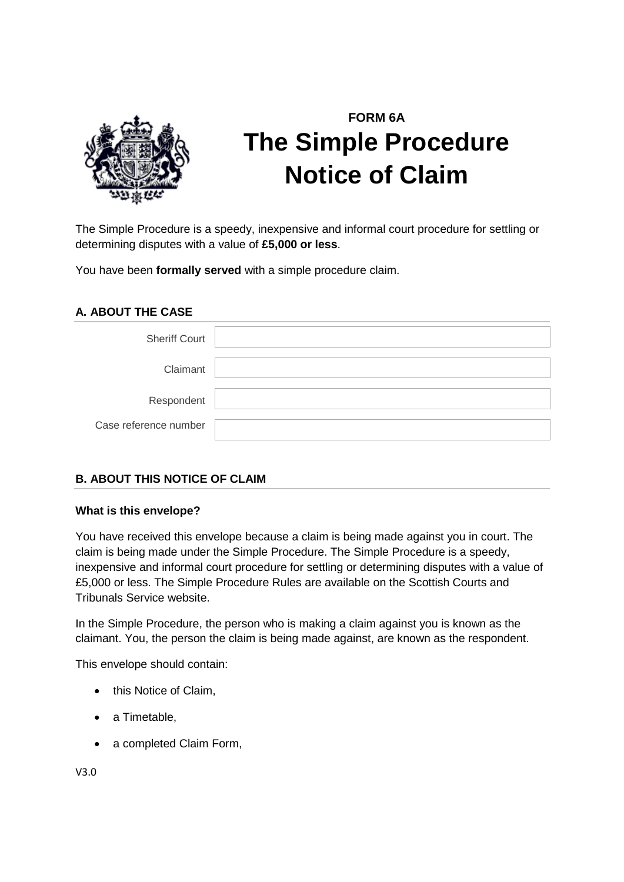

# **FORM 6A The Simple Procedure Notice of Claim**

The Simple Procedure is a speedy, inexpensive and informal court procedure for settling or determining disputes with a value of **£5,000 or less**.

You have been **formally served** with a simple procedure claim.

### **A. ABOUT THE CASE**

| <b>Sheriff Court</b>  |  |
|-----------------------|--|
| Claimant              |  |
| Respondent            |  |
| Case reference number |  |

## **B. ABOUT THIS NOTICE OF CLAIM**

#### **What is this envelope?**

You have received this envelope because a claim is being made against you in court. The claim is being made under the Simple Procedure. The Simple Procedure is a speedy, inexpensive and informal court procedure for settling or determining disputes with a value of £5,000 or less. The Simple Procedure Rules are available on the Scottish Courts and Tribunals Service website.

In the Simple Procedure, the person who is making a claim against you is known as the claimant. You, the person the claim is being made against, are known as the respondent.

This envelope should contain:

- this Notice of Claim,
- a Timetable,
- a completed Claim Form,

V3.0